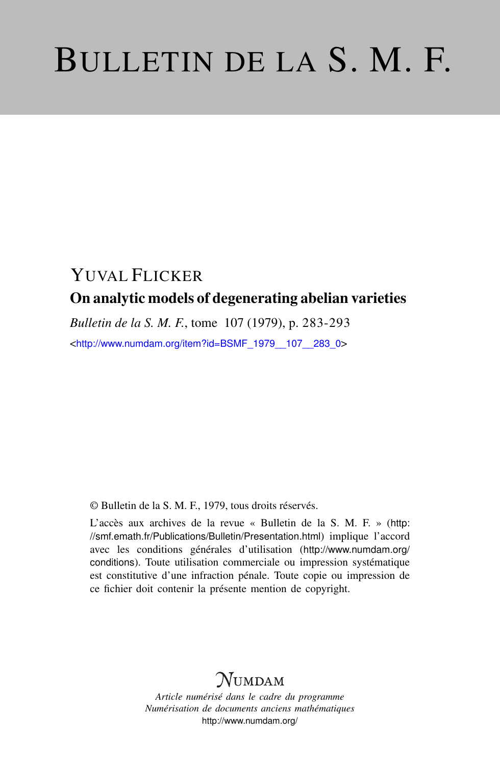# BULLETIN DE LA S. M. F.

## YUVAL FLICKER On analytic models of degenerating abelian varieties

*Bulletin de la S. M. F.*, tome 107 (1979), p. 283-293

<[http://www.numdam.org/item?id=BSMF\\_1979\\_\\_107\\_\\_283\\_0](http://www.numdam.org/item?id=BSMF_1979__107__283_0)>

© Bulletin de la S. M. F., 1979, tous droits réservés.

L'accès aux archives de la revue « Bulletin de la S. M. F. » ([http:](http://smf.emath.fr/Publications/Bulletin/Presentation.html) [//smf.emath.fr/Publications/Bulletin/Presentation.html](http://smf.emath.fr/Publications/Bulletin/Presentation.html)) implique l'accord avec les conditions générales d'utilisation ([http://www.numdam.org/](http://www.numdam.org/conditions) [conditions](http://www.numdam.org/conditions)). Toute utilisation commerciale ou impression systématique est constitutive d'une infraction pénale. Toute copie ou impression de ce fichier doit contenir la présente mention de copyright.

## NUMDAM

*Article numérisé dans le cadre du programme Numérisation de documents anciens mathématiques* <http://www.numdam.org/>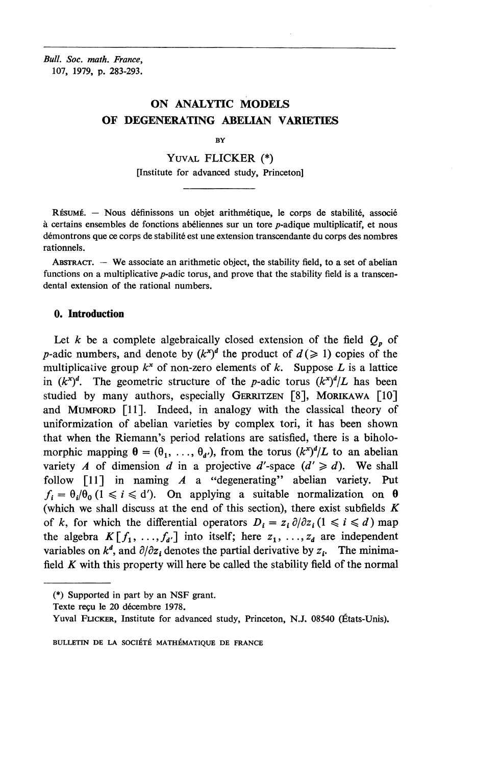*Bull. Soc. math. France,* 107, 1979, p. 283-293.

### **ON ANALYTIC MODELS OF DEGENERATING ABELIAN VARIETIES**

BY

YUVAL **FLICKER** (\*)

[Institute for advanced study, Princeton]

RÉSUMÉ. - Nous définissons un objet arithmétique, le corps de stabilité, associé  $\dot{a}$  certains ensembles de fonctions abéliennes sur un tore  $p$ -adique multiplicatif, et nous démontrons que ce corps de stabilité est une extension transcendante du corps des nombres rationnels.

ABSTRACT. — **We** associate an arithmetic object, the stability field, to a set of abelian functions on a multiplicative  $p$ -adic torus, and prove that the stability field is a transcendental extension of the rational numbers.

#### **0. Introduction**

Let  $k$  be a complete algebraically closed extension of the field  $Q_p$  of *p*-adic numbers, and denote by  $(k^x)^d$  the product of  $d \geq 1$ ) copies of the multiplicative group  $k^x$  of non-zero elements of k. Suppose L is a lattice in  $(k^x)^d$ . The geometric structure of the *p*-adic torus  $(k^x)^d/L$  has been studied by many authors, especially GERRITZEN [8], MORIKAWA [10] and MUMFORD [11]. Indeed, in analogy with the classical theory of uniformization of abelian varieties by complex tori, it has been shown that when the Riemann's period relations are satisfied, there is a biholomorphic mapping  $\theta = (\theta_1, \ldots, \theta_d)$ , from the torus  $(k^x)^d/L$  to an abelian variety *A* of dimension *d* in a projective *d'*-space  $(d' \ge d)$ . We shall follow [11] in naming *A* a "degenerating" abelian variety. Put  $f_i = \theta_i/\theta_0$  (1  $\le i \le d'$ ). On applying a suitable normalization on  $\theta$ (which we shall discuss at the end of this section), there exist subfields *K* of *k*, for which the differential operators  $D_i = z_i \partial/\partial z_i$  ( $1 \le i \le d$ ) map the algebra  $K[f_1, ..., f_{d'}]$  into itself; here  $z_1, ..., z_d$  are independent variables on  $k^d$ , and  $\partial/\partial z_i$  denotes the partial derivative by  $z_i$ . The minimafield *K* with this property will here be called the stability field of the normal

<sup>(\*)</sup> Supported in part by an NSF grant.

Texte recu Ie 20 decembre 1978.

Yuval PUCKER, Institute for advanced study, Princeton, N.J. 08540 (Etats-Unis).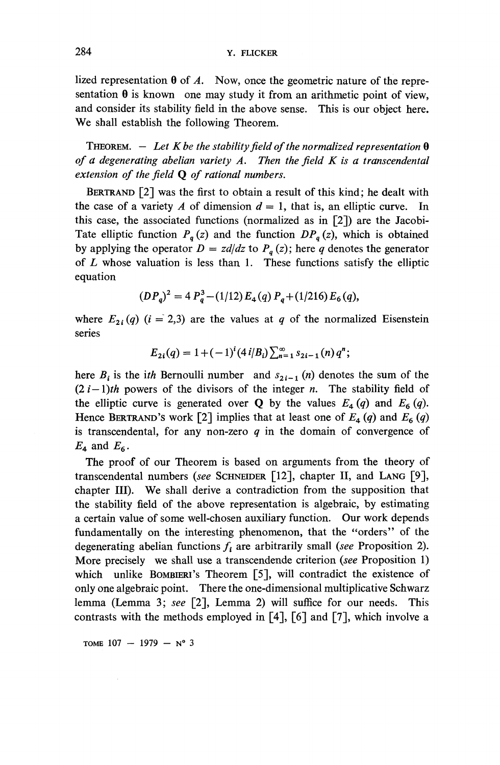lized representation  $\theta$  of A. Now, once the geometric nature of the representation  $\theta$  is known one may study it from an arithmetic point of view, and consider its stability field in the above sense. This is our object here. We shall establish the following Theorem.

THEOREM.  $-$  Let K be the stability field of the normalized representation  $\theta$ *of a degenerating abelian variety A. Then the field K is a transcendental extension of the field* Q *of rational numbers.*

BERTRAND [2] was the first to obtain a result of this kind; he dealt with the case of a variety A of dimension  $d = 1$ , that is, an elliptic curve. In this case, the associated functions (normalized as in [2]) are the Jacobi-Tate elliptic function  $P_q(z)$  and the function  $DP_q(z)$ , which is obtained by applying the operator  $D = zd/dz$  to  $P_q(z)$ ; here q denotes the generator of *L* whose valuation is less than 1. These functions satisfy the elliptic equation

$$
(DP_q)^2 = 4 P_q^3 - (1/12) E_4(q) P_q + (1/216) E_6(q),
$$

where  $E_{2i}(q)$  (i = 2,3) are the values at q of the normalized Eisenstein series

$$
E_{2i}(q) = 1 + (-1)^{i} (4 i/B_{i}) \sum_{n=1}^{\infty} s_{2i-1}(n) q^{n};
$$

here  $B_i$  is the *ith* Bernoulli number and  $s_{2i-1}$  (n) denotes the sum of the  $(2i-1)$ th powers of the divisors of the integer *n*. The stability field of the elliptic curve is generated over **Q** by the values  $E_4(q)$  and  $E_6(q)$ . Hence BERTRAND's work [2] implies that at least one of  $E_4(q)$  and  $E_6(q)$ is transcendental, for any non-zero *q* in the domain of convergence of  $E_4$  and  $E_6$ .

The proof of our Theorem is based on arguments from the theory of transcendental numbers *(see* SCHNEIDER [12], chapter II, and LANG [9], chapter III). We shall derive a contradiction from the supposition that the stability field of the above representation is algebraic, by estimating a certain value of some well-chosen auxiliary function. Our work depends fundamentally on the interesting phenomenon, that the "orders" of the degenerating abelian functions  $f_i$  are arbitrarily small (see Proposition 2). More precisely we shall use a transcendende criterion *(see* Proposition 1) which unlike BOMBIERI's Theorem [5], will contradict the existence of only one algebraic point. There the one-dimensional multiplicative Schwarz lemma (Lemma 3; *see* [2], Lemma 2) will suffice for our needs. This contrasts with the methods employed in [4], [6] and [7], which involve a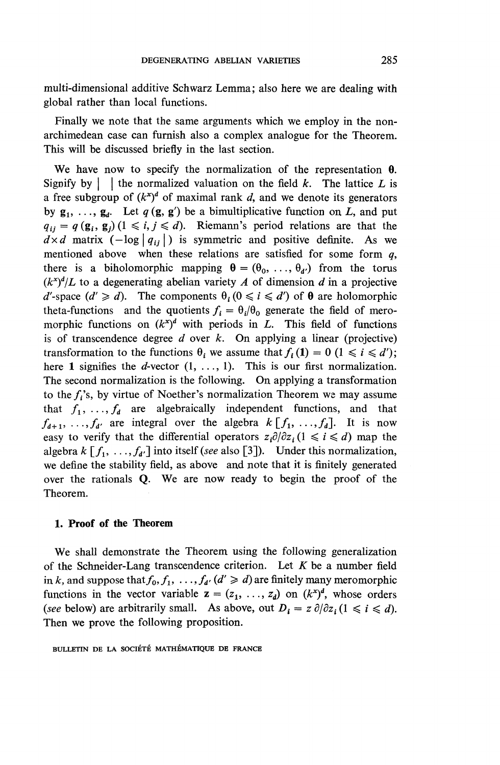multi-dimensional additive Schwarz Lemma; also here we are dealing with global rather than local functions.

Finally we note that the same arguments which we employ in the nonarchimedean case can furnish also a complex analogue for the Theorem. This will be discussed briefly in the last section.

**We** have now to specify the normalization of the representation 9. Signify by  $\vert \cdot \vert$  the normalized valuation on the field *k*. The lattice *L* is a free subgroup of  $(k^x)^d$  of maximal rank d, and we denote its generators by  $g_1, \ldots, g_d$ . Let  $q(g, g')$  be a bimultiplicative function on L, and put  $q_{ij} = q(g_i, g_j)$  (1  $\leq i, j \leq d$ ). Riemann's period relations are that the  $d \times d$  matrix  $(-\log|q_{ij}|)$  is symmetric and positive definite. As we mentioned above when these relations are satisfied for some form *q,* there is a biholomorphic mapping  $\theta = (\theta_0, \ldots, \theta_{d'})$  from the torus  $(k^{x})^{d}/L$  to a degenerating abelian variety *A* of dimension *d* in a projective  $d'$ -space  $(d' \ge d)$ . The components  $\theta_i$   $(0 \le i \le d')$  of  $\theta$  are holomorphic theta-functions and the quotients  $f_i = \theta_i/\theta_0$  generate the field of meromorphic functions on  $(k^x)^d$  with periods in L. This field of functions is of transcendence degree *d* over *k.* **On** applying a linear (projective) transformation to the functions  $\theta_i$  we assume that  $f_i(1) = 0$  ( $1 \le i \le d'$ ); here 1 signifies the d-vector  $(1, \ldots, 1)$ . This is our first normalization. The second normalization is the following. **On** applying a transformation to the *fi's,* by virtue of Noether's normalization Theorem we may assume that  $f_1, \ldots, f_d$  are algebraically independent functions, and that  $f_{d+1}, \ldots, f_{d'}$  are integral over the algebra  $k [f_1, \ldots, f_d]$ . It is now easy to verify that the differential operators  $z_i \partial/\partial z_i$  ( $1 \le i \le d$ ) map the algebra  $k [f_1, \ldots, f_{d'}]$  into itself (see also [3]). Under this normalization, we define the stability field, as above and note that it is finitely generated over the rationals **Q. We** are now ready to begin the proof of the Theorem.

#### **1. Proof of the Theorem**

We shall demonstrate the Theorem using the following generalization of the Schneider-Lang transcendence criterion. Let *K* be a number field in k, and suppose that  $f_0, f_1, \ldots, f_{d'} (d' \ge d)$  are finitely many meromorphic functions in the vector variable  $z = (z_1, \ldots, z_d)$  on  $(k^x)^d$ , whose orders *(see* below) are arbitrarily small. As above, out  $D_i = z \partial/\partial z_i$  ( $1 \le i \le d$ ). Then we prove the following proposition.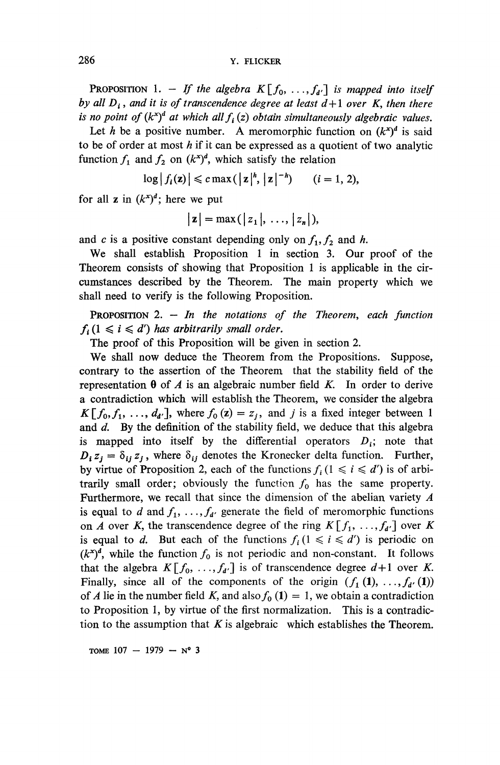**PROPOSITION** 1. - If the algebra  $K[f_0, \ldots, f_{d'}]$  is mapped into itself *by all*  $D_i$ *, and it is of transcendence degree at least*  $d+1$  *over*  $K$ , then there *is no point of*  $(k^x)^d$  *at which all*  $f_i(z)$  *obtain simultaneously algebraic values.* 

Let h be a positive number. A meromorphic function on  $(k^x)^d$  is said to be of order at most *h* if it can be expressed as a quotient of two analytic function  $f_1$  and  $f_2$  on  $(k^x)^d$ , which satisfy the relation

$$
\log |f_i(\mathbf{z})| \leqslant c \max(|\mathbf{z}|^h, |\mathbf{z}|^{-h}) \qquad (i=1, 2),
$$

for all **z** in  $(k^{x})^d$ ; here we put

$$
|\mathbf{z}| = \max(|z_1|, \ldots, |z_n|),
$$

and *c* is a positive constant depending only on  $f_1, f_2$  and *h*.

We shall establish Proposition 1 in section 3. Our proof of the Theorem consists of showing that Proposition 1 is applicable in the circumstances described by the Theorem. The main property which we shall need to verify is the following Proposition.

PROPOSITION 2. - *In the notations of the Theorem, each function*  $f_i$  ( $1 \leq i \leq d'$ ) has arbitrarily small order.

The proof of this Proposition will be given in section 2.

We shall now deduce the Theorem from the Propositions. Suppose, contrary to the assertion of the Theorem that the stability field of the representation  $\theta$  of A is an algebraic number field K. In order to derive a contradiction which will establish the Theorem, we consider the algebra  $K[f_0, f_1, \ldots, d_{d'}]$ , where  $f_0(z) = z_i$ , and *j* is a fixed integer between 1 and *d.* By the definition of the stability field, we deduce that this algebra is mapped into itself by the differential operators  $D_i$ ; note that *D*<sub>i</sub>,  $z_i = \delta_{ij} z_i$ , where  $\delta_{ij}$  denotes the Kronecker delta function. Further, by virtue of Proposition 2, each of the functions  $f_i$  ( $1 \le i \le d'$ ) is of arbitrarily small order; obviously the function  $f_0$  has the same property. Furthermore, we recall that since the dimension of the abelian variety *A* is equal to *d* and  $f_1, \ldots, f_{d'}$  generate the field of meromorphic functions on *A* over *K*, the transcendence degree of the ring  $K[f_1, \ldots, f_{d'}]$  over *K* is equal to *d.* But each of the functions  $f_i$  ( $1 \le i \le d'$ ) is periodic only if  $i \le d'$  $(k<sup>x</sup>)<sup>d</sup>$ , while the function  $f_0$  is not periodic and non-constant. It follows that the algebra  $K[f_0, ..., f_{d'}]$  is of transcendence degree  $d+1$  over K. Finally, since all of the components of the origin  $(f_1(1), \ldots, f_{d'}(1))$ of *A* lie in the number field *K*, and also  $f_0(1) = 1$ , we obtain a contradiction to Proposition 1, by virtue of the first normalization. This is a contradiction to the assumption that *K* is algebraic which establishes the Theorem.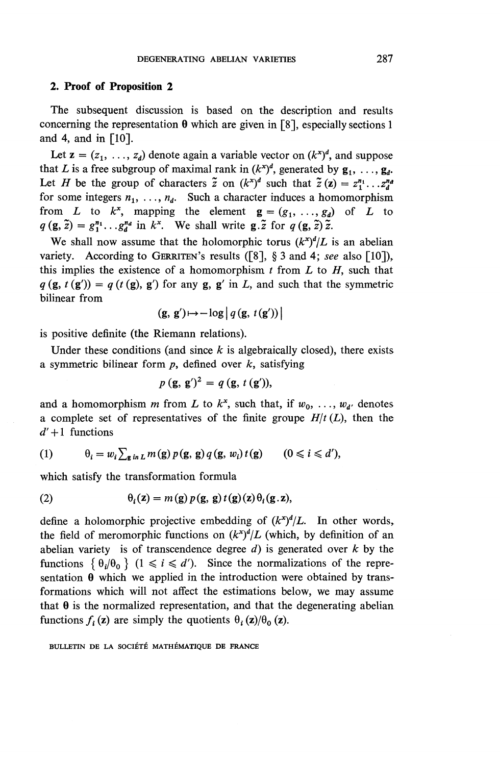#### **2. Proof of Proposition 2**

The subsequent discussion is based on the description and results concerning the representation  $\theta$  which are given in [8], especially sections 1 and 4, and in  $\lceil 10 \rceil$ .

Let  $z = (z_1, \ldots, z_d)$  denote again a variable vector on  $(k^x)^d$ , and suppose that *L* is a free subgroup of maximal rank in  $(k<sup>x</sup>)<sup>d</sup>$ , generated by  $g_1, \ldots, g_d$ . Let *H* be the group of characters  $\tilde{z}$  on  $(k^x)^d$  such that  $\tilde{z}(z) = z_1^{n_1} \dots z_d^{n_d}$ for some integers  $n_1$ , ...,  $n_d$ . Such a character induces a homomorphism from *L* to  $k^x$ , mapping the element  $g = (g_1, \ldots, g_d)$  of *L* to  $q(\mathbf{g}, \tilde{\mathbf{z}}) = g_1^{n_1} \dots g_d^{n_d}$  in  $k^x$ . We shall write  $\mathbf{g} \cdot \tilde{\mathbf{z}}$  for  $q(\mathbf{g}, \tilde{\mathbf{z}}) \tilde{\mathbf{z}}$ .

We shall now assume that the holomorphic torus  $(k^x)^d/L$  is an abelian variety. According to GERRITEN's results ([8], § 3 and 4; see also [10]), this implies the existence of a homomorphism  $t$  from  $L$  to  $H$ , such that  $q(\mathbf{g}, t(\mathbf{g}')) = q(t(\mathbf{g}), \mathbf{g}')$  for any  $\mathbf{g}, \mathbf{g}'$  in L, and such that the symmetric bilinear from

$$
(\mathbf{g},\,\mathbf{g}') \mapsto -\log \left| \, q\left(\mathbf{g},\,t\left(\mathbf{g}'\right)\right) \,\right|
$$

is positive definite (the Riemann relations).

Under these conditions (and since *k* is algebraically closed), there exists a symmetric bilinear form *p,* defined over *k,* satisfying

$$
p(\mathbf{g}, \mathbf{g}')^2 = q(\mathbf{g}, t(\mathbf{g}')),
$$

and a homomorphism m from L to  $k^x$ , such that, if  $w_0, \ldots, w_{d'}$  denotes a complete set of representatives of the finite groupe  $H/t(L)$ , then the  $d'+1$  functions

(1) 
$$
\theta_i = w_i \sum_{\mathbf{g} \text{ in } L} m(\mathbf{g}) p(\mathbf{g}, \mathbf{g}) q(\mathbf{g}, w_i) t(\mathbf{g}) \qquad (0 \leq i \leq d'),
$$

which satisfy the transformation formula

(2) 
$$
\theta_i(\mathbf{z}) = m(\mathbf{g}) p(\mathbf{g}, \mathbf{g}) t(\mathbf{g})(\mathbf{z}) \theta_i(\mathbf{g} \cdot \mathbf{z}),
$$

define a holomorphic projective embedding of  $(k^x)^d/L$ . In other words, the field of meromorphic functions on  $(k^{x})^d/L$  (which, by definition of an abelian variety is of transcendence degree *d)* is generated over *k* by the functions  $\{\theta_i/\theta_0\}$   $(1 \le i \le d')$ . Since the normalizations of the representation  $\theta$  which we applied in the introduction were obtained by transformations which will not affect the estimations below, we may assume that  $\theta$  is the normalized representation, and that the degenerating abelian functions  $f_i(z)$  are simply the quotients  $\theta_i(z)/\theta_0(z)$ .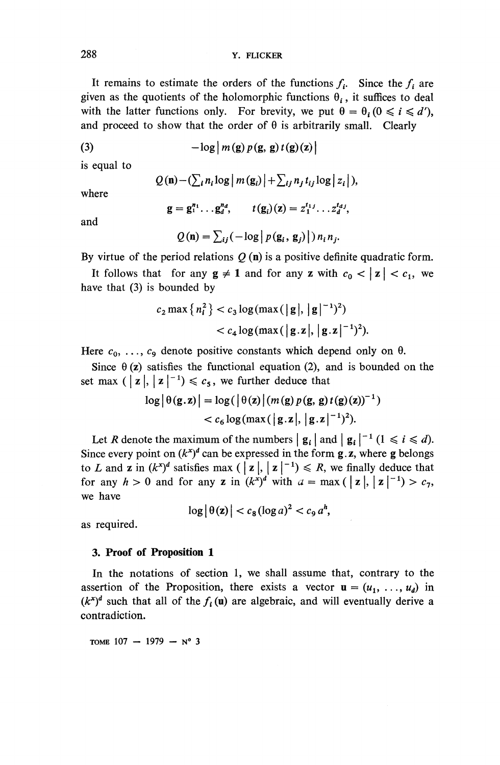It remains to estimate the orders of the functions  $f_i$ . Since the  $f_i$  are given as the quotients of the holomorphic functions  $\theta_i$ , it suffices to deal with the latter functions only. For brevity, we put  $\theta = \theta_i (0 \le i \le d')$ , and proceed to show that the order of  $\theta$  is arbitrarily small. Clearly

(3) 
$$
-\log \left| m\left(\mathbf{g}\right)p\left(\mathbf{g},\mathbf{g}\right)t\left(\mathbf{g}\right)\left(\mathbf{z}\right)\right|
$$

is equal to

$$
Q(\mathbf{n})-(\sum_i n_i \log |m(\mathbf{g}_i)|+\sum_{ij} n_j t_{ij} \log |z_i|),
$$

where

$$
g = g_1^{n_1} \dots g_d^{n_d}, \qquad t(g_i)(z) = z_1^{t_1} \dots z_d^{t_d},
$$

and

$$
Q(\mathbf{n}) = \sum_{ij} \left(-\log\left|p(\mathbf{g}_i, \mathbf{g}_j)\right|\right) n_i n_j.
$$

**By** virtue of the period relations *Q* (n) is a positive definite quadratic form.

It follows that for any  $g \neq 1$  and for any z with  $c_0 < |z| < c_1$ , we have that (3) is bounded by

$$
c_2 \max \{n_i^2\} < c_3 \log(\max(\vert \mathbf{g} \vert, \vert \mathbf{g} \vert^{-1})^2) \\
&< c_4 \log(\max(\vert \mathbf{g} \cdot \mathbf{z} \vert, \vert \mathbf{g} \cdot \mathbf{z} \vert^{-1})^2).
$$

Here  $c_0, \ldots, c_9$  denote positive constants which depend only on  $\theta$ .

Since  $\theta$  (z) satisfies the functional equation (2), and is bounded on the Since  $\theta(z)$  satisfies the functional equation (2), and set max  $(|z|, |z|^{-1}) \leq c_5$ , we further deduce that

$$
\begin{aligned} \log |\theta(\mathbf{g}.\mathbf{z})| &= \log(|\theta(\mathbf{z})| \left( m(\mathbf{g}) p(\mathbf{g}, \mathbf{g}) t(\mathbf{g})(\mathbf{z}) \right)^{-1}) \\ &< c_6 \log(\max(|\mathbf{g}.\mathbf{z}|, |\mathbf{g}.\mathbf{z}|^{-1})^2). \end{aligned}
$$

Let *R* denote the maximum of the numbers  $|\mathbf{g}_i|$  and  $|\mathbf{g}_i|^{-1}$   $(1 \le i \le d)$ . Since every point on  $(k^x)^d$  can be expressed in the form **g**. **z**, where **g** belongs to *L* and **z** in  $(k^x)^d$  satisfies max  $\left( \begin{array}{c} \mathbf{z} \end{array} \right|, \mathbf{z} \end{array} \left| \begin{array}{c} \mathbf{z} \end{array} \right|^{-1} \leq R$ , we finally deduce that for any  $h > 0$  and for any z in  $(k^{x})^{d}$  with  $a = \max(|z|, |z|^{-1}) > c_7$ , we have

$$
\log |\theta(\mathbf{z})| < c_8 (\log a)^2 < c_9 a^h,
$$

as required.

#### **3. Proof of Proposition 1**

In the notations of section 1, we shall assume that, contrary to the assertion of the Proposition, there exists a vector  $\mathbf{u} = (u_1, \ldots, u_d)$  in  $(k<sup>x</sup>)<sup>d</sup>$  such that all of the  $f_i(\mathbf{u})$  are algebraic, and will eventually derive a contradiction.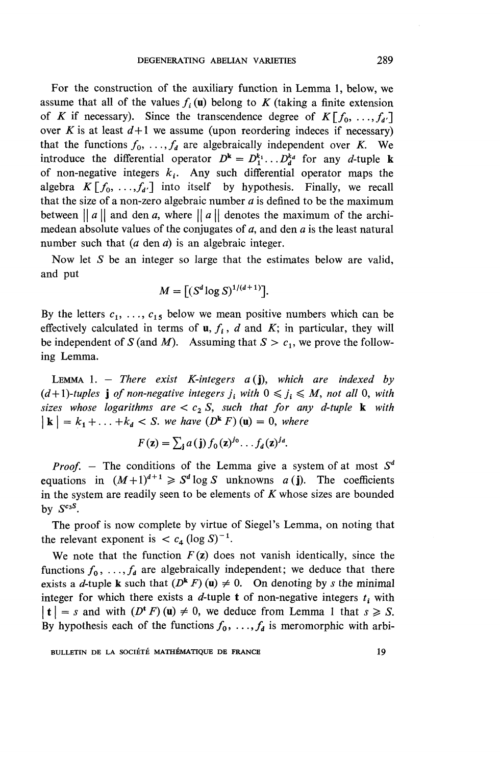For the construction of the auxiliary function in Lemma 1, below, we assume that all of the values  $f_i(\mathbf{u})$  belong to K (taking a finite extension of *K* if necessary). Since the transcendence degree of  $K[f_0, \ldots, f_d]$ over *K* is at least  $d+1$  we assume (upon reordering indeces if necessary) that the functions  $f_0, \ldots, f_d$  are algebraically independent over *K*. We introduce the differential operator  $D^k = D_1^{k_1} \dots D_d^{k_d}$  for any *d*-tuple k of non-negative integers  $k_i$ . Any such differential operator maps the algebra  $K[f_0, \ldots, f_{d'}]$  into itself by hypothesis. Finally, we recall that the size of a non-zero algebraic number  $a$  is defined to be the maximum between  $||a||$  and den a, where  $||a||$  denotes the maximum of the archimedean absolute values of the conjugates of *a,* and den *a* is the least natural number such that *(a* den *a)* is an algebraic integer.

Now let *S* be an integer so large that the estimates below are valid, and put

$$
M = \left[ \left( S^d \log S \right)^{1/(d+1)} \right].
$$

By the letters  $c_1, \ldots, c_{15}$  below we mean positive numbers which can be effectively calculated in terms of  $\mathbf{u}$ ,  $f_i$ ,  $d$  and  $K$ ; in particular, they will be independent of *S* (and *M*). Assuming that  $S > c_1$ , we prove the following Lemma.

LEMMA 1. - *There exist K-integers a(]), which are indexed by*  $(d+1)$ -tuples **j** of non-negative integers  $j_i$  with  $0 \leq j_i \leq M$ , not all 0, with *sizes whose logarithms are*  $c_2 S$ *, such that for any d-tuple* **k** with  $| \mathbf{k} | = k_1 + \ldots + k_d < S$ . we have  $(D^{\mathbf{k}} F)(\mathbf{u}) = 0$ *, where* 

$$
F(\mathbf{z}) = \sum_{\mathbf{j}} a(\mathbf{j}) f_0(\mathbf{z})^{j_0} \dots f_a(\mathbf{z})^{j_a}.
$$

*Proof. -* The conditions of the Lemma give a system of at most *3<sup>d</sup>* equations in  $(M+1)^{d+1} \ge S^d \log S$  unknowns  $a(j)$ . The coefficients in the system are readily seen to be elements of *K* whose sizes are bounded by  $S^{c_3S}$ .

The proof is now complete by virtue of Siegel's Lemma, on noting that the relevant exponent is  $\lt c_4$  (log S)<sup>-1</sup>

We note that the function  $F(z)$  does not vanish identically, since the functions  $f_0, \ldots, f_d$  are algebraically independent; we deduce that there exists a *d*-tuple **k** such that  $(D^k F)(u) \neq 0$ . On denoting by *s* the minimal integer for which there exists a *d*-tuple **t** of non-negative integers  $t_i$  with  $|t| = s$  and with  $(D^t F)(u) \neq 0$ , we deduce from Lemma 1 that  $s \geq S$ . By hypothesis each of the functions  $f_0, \ldots, f_d$  is meromorphic with arbi-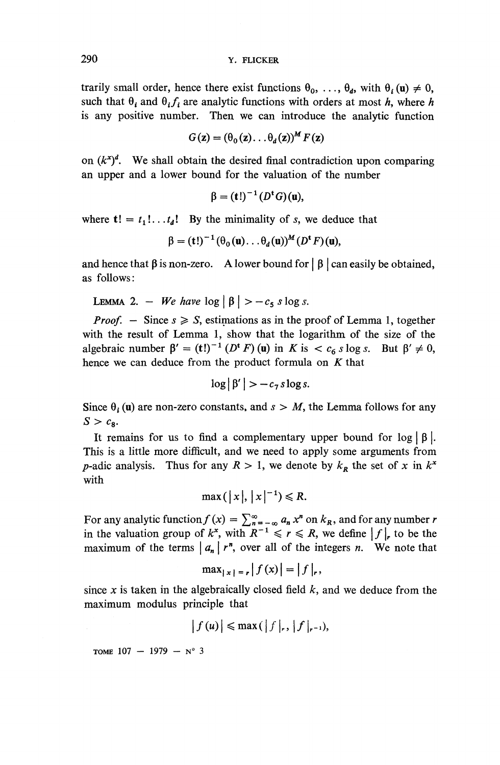trarily small order, hence there exist functions  $\theta_0, \ldots, \theta_d$ , with  $\theta_i(\mathbf{u}) \neq 0$ , such that  $\theta_i$  and  $\theta_i f_i$  are analytic functions with orders at most h, where h is any positive number. Then we can introduce the analytic function

$$
G(\mathbf{z}) = (\theta_0(\mathbf{z}) \dots \theta_d(\mathbf{z}))^M F(\mathbf{z})
$$

on  $(k^x)^d$ . We shall obtain the desired final contradiction upon comparing an upper and a lower bound for the valuation of the number

$$
\beta = (t!)^{-1} (D^{\mathbf{t}}G)(\mathbf{u}),
$$

where  $t! = t_1! \dots t_d!$  By the minimality of *s*, we deduce that

$$
\beta = (t!)^{-1} (\theta_0(\mathbf{u}) \dots \theta_d(\mathbf{u}))^M (D^{\mathbf{t}} F)(\mathbf{u}),
$$

and hence that  $\beta$  is non-zero. A lower bound for  $\beta$  can easily be obtained, as follows:

s follows:  
LEMMA 2. – *We have* log 
$$
|\beta|
$$
 >  $-c_5$  s log s.

*Proof.* - Since  $s \geqslant S$ , estimations as in the proof of Lemma 1, together with the result of Lemma 1, show that the logarithm of the size of the with the result of Lemma 1, show that the logarithm of the size of the algebraic number  $\beta' = (t!)^{-1} (D^t F)(u)$  in *K* is  $\lt c_6 s \log s$ . But  $\beta' \neq 0$ hence we can deduce from the product formula on *K* that

$$
\log|\beta'| > -c_7 \, \text{s} \log s.
$$

Since  $\theta_i(\mathbf{u})$  are non-zero constants, and  $s > M$ , the Lemma follows for an  $S > c$  $S > c_8$ .<br>It remains for us to find a complementary upper bound for  $\log |\beta|$ .

This is a little more difficult, and we need to apply some arguments from *p*-adic analysis. Thus for any  $R > 1$ , we denote by  $k<sub>R</sub>$  the set of x in  $k<sup>x</sup>$ with

$$
\max(|x|, |x|^{-1}) \le R.
$$

 $\max(|x|, |x|^{-1}) \le R$ .<br>
For any analytic function  $f(x) = \sum_{n=-\infty}^{\infty} a_n x^n$  on  $k_R$ , and for any number r<br>
in the valuation group of  $k^x$ , with  $R^{-1} \le r \le R$ , we define  $|f|_r$  to be the<br>
maximum of the terms  $|a_n| r^n$ , over al

$$
\max_{|x| = r} |f(x)| = |f|_r,
$$

since *x* is taken in the algebraically closed field *k,* and we deduce from the maximum modulus principle that

$$
\left|f\left(u\right)\right| \leqslant \max\left(\left|f\right|_{r},\left|f\right|_{r^{-1}}\right),
$$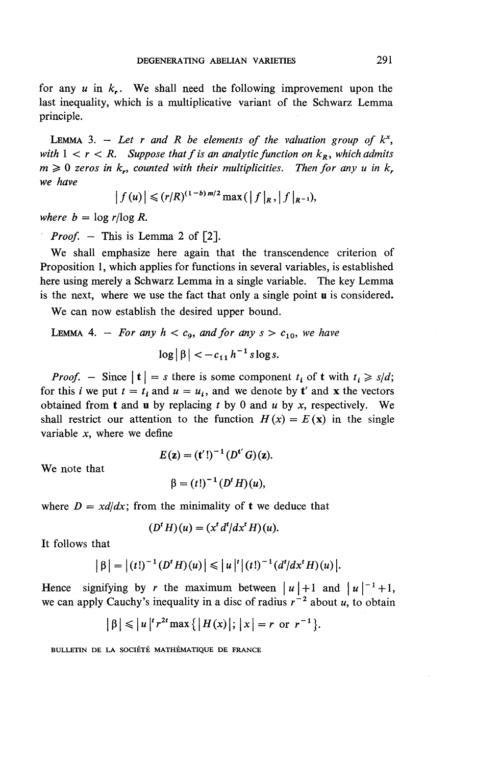for any  $u$  in  $k<sub>r</sub>$ . We shall need the following improvement upon the last inequality, which is a multiplicative variant of the Schwarz Lemma principle.

LEMMA 3.  $-$  Let r and R be elements of the valuation group of  $k^x$ , *with*  $1 < r < R$ . Suppose that f is an analytic function on  $k<sub>R</sub>$ , which admits  $m \geq 0$  zeros in  $k_r$ , counted with their multiplicities. Then for any u in  $k_r$ *we have*

$$
|f(u)| \leqslant (r/R)^{(1-b) m/2} \max(|f|_{R}, |f|_{R^{-1}}),
$$

*where*  $b = \log r / \log R$ .

*Proof.* – This is Lemma 2 of [2].

We shall emphasize here again that the transcendence criterion of Proposition 1, which applies for functions in several variables, is established here using merely a Schwarz Lemma in a single variable. The key Lemma is the next, where we use the fact that only a single point u is considered.

**We** can now establish the desired upper bound.

## LEMMA 4. – For any  $h < c_0$ , and for any  $s > c_{10}$ , we have  $\log |\beta| < -c_{11} h^{-1}$  s log s.

*Proof.* – Since  $|t| = s$  there is some component  $t_i$  of t with  $t_i \ge s/d$ ; for this *i* we put  $t = t_i$  and  $u = u_i$ , and we denote by **t**' and **x** the vectors obtained from t and u by replacing *t* by 0 and *u* by *x,* respectively. We shall restrict our attention to the function  $H(x) = E(x)$  in the single variable *x,* where we define

We note that

$$
E(z) = (t'!)^{-1} (D^{t'} G)(z).
$$

$$
\beta = (t!)^{-1} (D^t H)(u),
$$

where  $D = x d/dx$ ; from the minimality of **t** we deduce that

$$
(Dt H)(u) = (xt dt/dxt H)(u).
$$

**It** follows that

$$
|\beta| = |(t!)^{-1} (D^t H)(u)| \leq |u|^{t} |(t!)^{-1} (d^{t}/dx^{t} H)(u)|.
$$

**Hence** signifying by *r* the maximum between  $|u|+1$  and  $|u|^{-1}+1$ , we can apply Cauchy's inequality in a disc of radius  $r^{-2}$  about u, to obtain

$$
|\beta| \leq |u|^{r^2} \max\{|H(x)|; |x| = r \text{ or } r^{-1}\}.
$$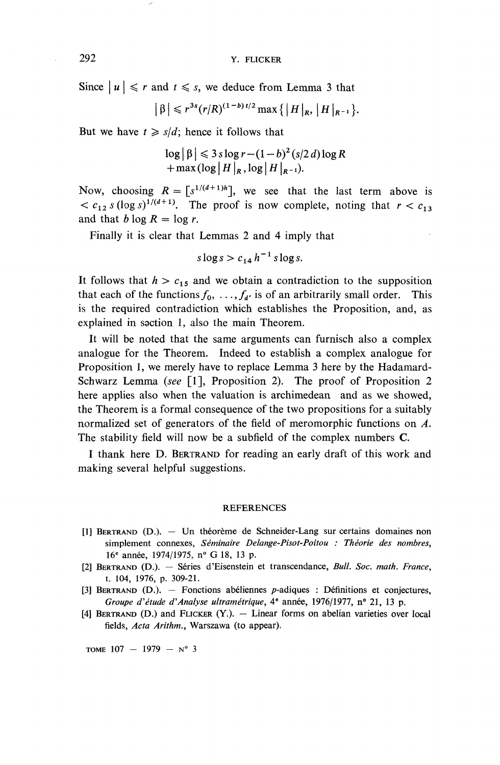Since  $|u| \le r$  and  $t \le s$ , we deduce from Lemma 3 that

$$
|\beta| \leq r^{3s} (r/R)^{(1-b)t/2} \max\{|H|_{R}, |H|_{R^{-1}}\}.
$$

But we have  $t \geq s/d$ ; hence it follows that

$$
\log |\beta| \leqslant 3 \operatorname{slog} r - (1 - b)^2 (s/2 d) \log R
$$
  
+ max (log |H|<sub>R</sub>, log |H|<sub>R-1</sub>).

Now, choosing  $R = \lceil s^{1/(d+1)h} \rceil$ , we see that the last term above is  $\langle c_{12} s (\log s)^{1/(d+1)} \rangle$ . The proof is now complete, noting that  $r < c_{12}$ and that  $b \log R = \log r$ .

Finally it is clear that Lemmas 2 and 4 imply that

$$
s\log s > c_{14}h^{-1}s\log s.
$$

It follows that  $h > c_{15}$  and we obtain a contradiction to the supposition that each of the functions  $f_0, \ldots, f_{d'}$  is of an arbitrarily small order. This is the required contradiction which establishes the Proposition, and, as explained in section 1, also the main Theorem.

**It** will be noted that the same arguments can furnisch also a complex analogue for the Theorem. Indeed to establish a complex analogue for Proposition 1, we merely have to replace Lemma 3 here by the Hadamard-Schwarz Lemma *(see* [I], Proposition 2). The proof of Proposition 2 here applies also when the valuation is archimedean and as we showed, the Theorem is a formal consequence of the two propositions for a suitably normalized set of generators of the field of meromorphic functions on *A.* The stability field will now be a subfield of the complex numbers C.

I thank here D. BERTRAND for reading an early draft of this work and making several helpful suggestions.

#### **REFERENCES**

- [1] BERTRAND (D.). Un theoreme de Schneider-Lang sur certains domaines non simplement connexes, *Seminaire Delange-Pisot-Poitou : Theorie des nombres,* 16<sup>e</sup> année, 1974/1975, n° G 18, 13 p.
- [2] BERTRAND (D.). Series d'Eisenstein et transcendance. *Bull. Soc. math. France,* t. 104, 1976, p. 309-21.
- [3] BERTRAND  $(D.)$ . Fonctions abeliennes  $p$ -adiques : Définitions et conjectures, *Groupe d'étude d'Analyse ultramétrique*, 4<sup>e</sup> année, 1976/1977, n° 21, 13 p.
- $[4]$  BERTRAND (D.) and FLICKER  $(Y)$ .  $-$  Linear forms on abelian varieties over local fields, *Acta Arithm.,* Warszawa (to appear).